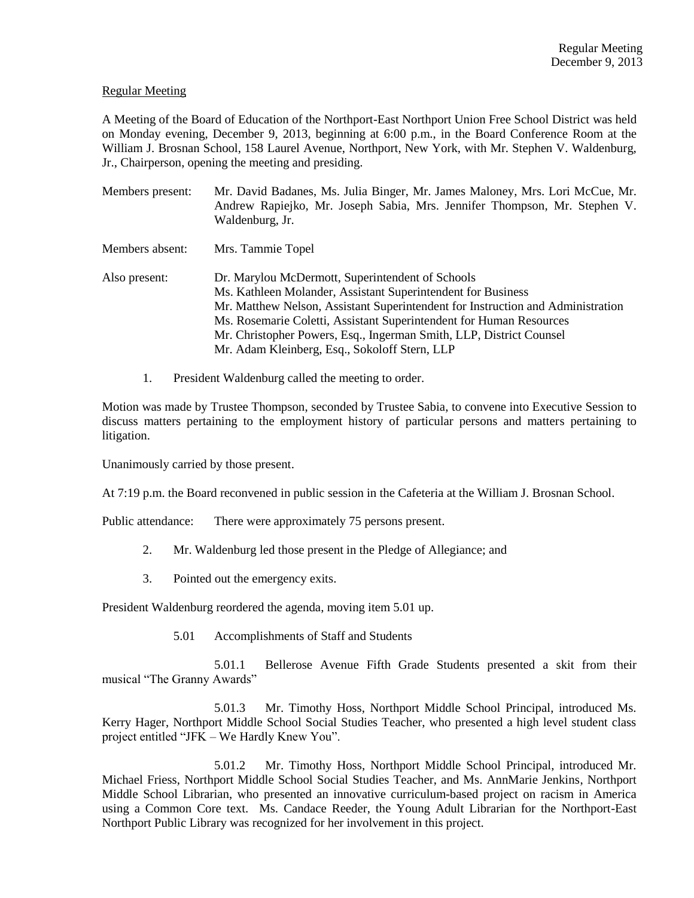# Regular Meeting

A Meeting of the Board of Education of the Northport-East Northport Union Free School District was held on Monday evening, December 9, 2013, beginning at 6:00 p.m., in the Board Conference Room at the William J. Brosnan School, 158 Laurel Avenue, Northport, New York, with Mr. Stephen V. Waldenburg, Jr., Chairperson, opening the meeting and presiding.

| Members present: | Mr. David Badanes, Ms. Julia Binger, Mr. James Maloney, Mrs. Lori McCue, Mr.<br>Andrew Rapiejko, Mr. Joseph Sabia, Mrs. Jennifer Thompson, Mr. Stephen V.<br>Waldenburg, Jr.                                                                                                                                                                                                                       |
|------------------|----------------------------------------------------------------------------------------------------------------------------------------------------------------------------------------------------------------------------------------------------------------------------------------------------------------------------------------------------------------------------------------------------|
| Members absent:  | Mrs. Tammie Topel                                                                                                                                                                                                                                                                                                                                                                                  |
| Also present:    | Dr. Marylou McDermott, Superintendent of Schools<br>Ms. Kathleen Molander, Assistant Superintendent for Business<br>Mr. Matthew Nelson, Assistant Superintendent for Instruction and Administration<br>Ms. Rosemarie Coletti, Assistant Superintendent for Human Resources<br>Mr. Christopher Powers, Esq., Ingerman Smith, LLP, District Counsel<br>Mr. Adam Kleinberg, Esq., Sokoloff Stern, LLP |

1. President Waldenburg called the meeting to order.

Motion was made by Trustee Thompson, seconded by Trustee Sabia, to convene into Executive Session to discuss matters pertaining to the employment history of particular persons and matters pertaining to litigation.

Unanimously carried by those present.

At 7:19 p.m. the Board reconvened in public session in the Cafeteria at the William J. Brosnan School.

Public attendance: There were approximately 75 persons present.

- 2. Mr. Waldenburg led those present in the Pledge of Allegiance; and
- 3. Pointed out the emergency exits.

President Waldenburg reordered the agenda, moving item 5.01 up.

5.01 Accomplishments of Staff and Students

5.01.1 Bellerose Avenue Fifth Grade Students presented a skit from their musical "The Granny Awards"

5.01.3 Mr. Timothy Hoss, Northport Middle School Principal, introduced Ms. Kerry Hager, Northport Middle School Social Studies Teacher, who presented a high level student class project entitled "JFK – We Hardly Knew You".

5.01.2 Mr. Timothy Hoss, Northport Middle School Principal, introduced Mr. Michael Friess, Northport Middle School Social Studies Teacher, and Ms. AnnMarie Jenkins, Northport Middle School Librarian, who presented an innovative curriculum-based project on racism in America using a Common Core text. Ms. Candace Reeder, the Young Adult Librarian for the Northport-East Northport Public Library was recognized for her involvement in this project.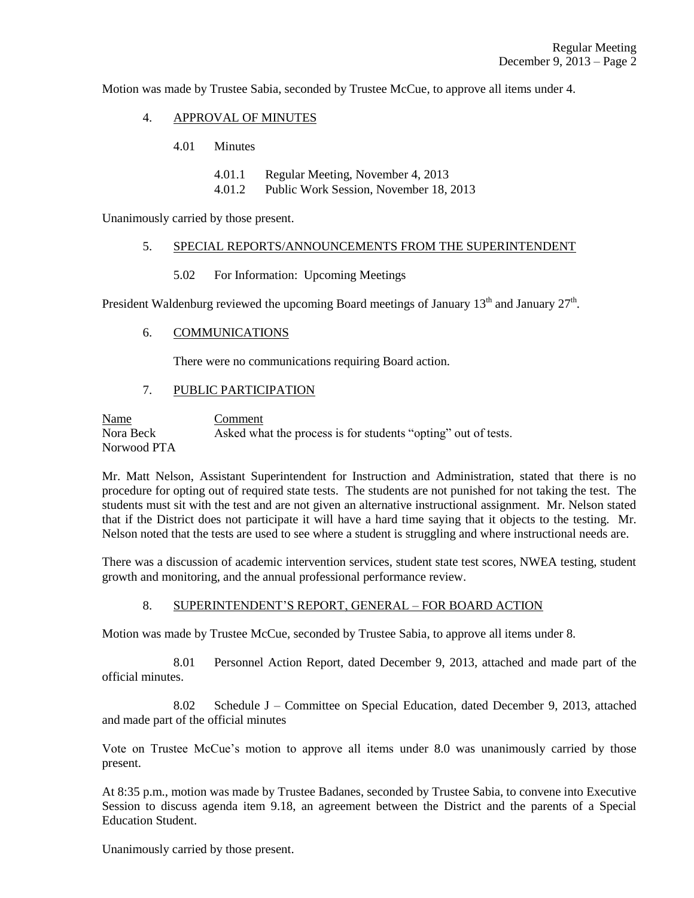Motion was made by Trustee Sabia, seconded by Trustee McCue, to approve all items under 4.

- 4. APPROVAL OF MINUTES
	- 4.01 Minutes
		- 4.01.1 Regular Meeting, November 4, 2013
		- 4.01.2 Public Work Session, November 18, 2013

Unanimously carried by those present.

### 5. SPECIAL REPORTS/ANNOUNCEMENTS FROM THE SUPERINTENDENT

5.02 For Information: Upcoming Meetings

President Waldenburg reviewed the upcoming Board meetings of January  $13<sup>th</sup>$  and January  $27<sup>th</sup>$ .

6. COMMUNICATIONS

There were no communications requiring Board action.

### 7. PUBLIC PARTICIPATION

Name Comment Nora Beck Asked what the process is for students "opting" out of tests. Norwood PTA

Mr. Matt Nelson, Assistant Superintendent for Instruction and Administration, stated that there is no procedure for opting out of required state tests. The students are not punished for not taking the test. The students must sit with the test and are not given an alternative instructional assignment. Mr. Nelson stated that if the District does not participate it will have a hard time saying that it objects to the testing. Mr. Nelson noted that the tests are used to see where a student is struggling and where instructional needs are.

There was a discussion of academic intervention services, student state test scores, NWEA testing, student growth and monitoring, and the annual professional performance review.

### 8. SUPERINTENDENT'S REPORT, GENERAL – FOR BOARD ACTION

Motion was made by Trustee McCue, seconded by Trustee Sabia, to approve all items under 8.

8.01 Personnel Action Report, dated December 9, 2013, attached and made part of the official minutes.

8.02 Schedule J – Committee on Special Education, dated December 9, 2013, attached and made part of the official minutes

Vote on Trustee McCue's motion to approve all items under 8.0 was unanimously carried by those present.

At 8:35 p.m., motion was made by Trustee Badanes, seconded by Trustee Sabia, to convene into Executive Session to discuss agenda item 9.18, an agreement between the District and the parents of a Special Education Student.

Unanimously carried by those present.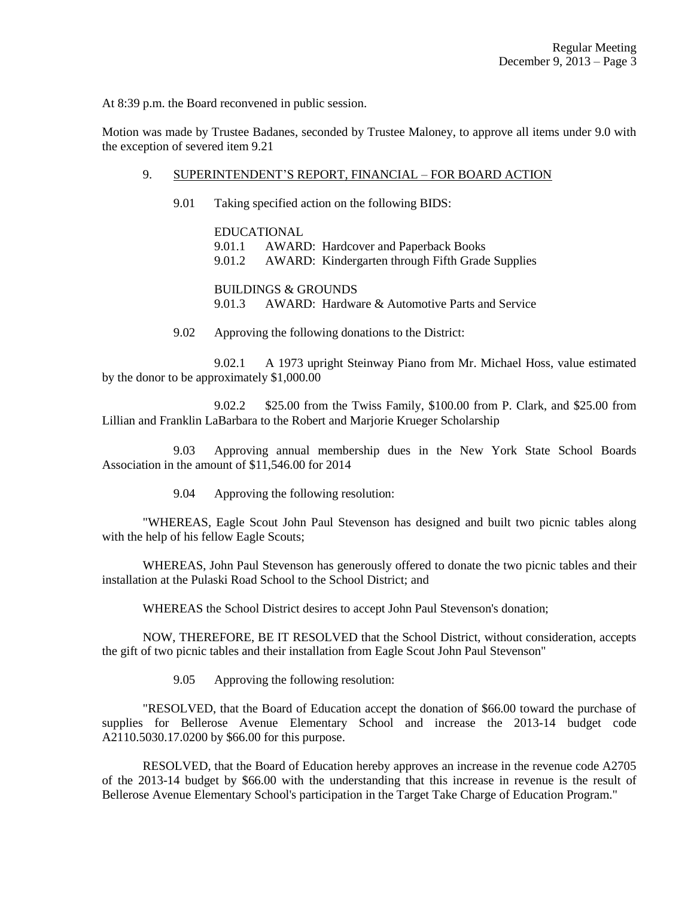At 8:39 p.m. the Board reconvened in public session.

Motion was made by Trustee Badanes, seconded by Trustee Maloney, to approve all items under 9.0 with the exception of severed item 9.21

# 9. SUPERINTENDENT'S REPORT, FINANCIAL – FOR BOARD ACTION

9.01 Taking specified action on the following BIDS:

EDUCATIONAL 9.01.1 AWARD: Hardcover and Paperback Books 9.01.2 AWARD: Kindergarten through Fifth Grade Supplies

BUILDINGS & GROUNDS 9.01.3 AWARD: Hardware & Automotive Parts and Service

9.02 Approving the following donations to the District:

9.02.1 A 1973 upright Steinway Piano from Mr. Michael Hoss, value estimated by the donor to be approximately \$1,000.00

9.02.2 \$25.00 from the Twiss Family, \$100.00 from P. Clark, and \$25.00 from Lillian and Franklin LaBarbara to the Robert and Marjorie Krueger Scholarship

9.03 Approving annual membership dues in the New York State School Boards Association in the amount of \$11,546.00 for 2014

9.04 Approving the following resolution:

"WHEREAS, Eagle Scout John Paul Stevenson has designed and built two picnic tables along with the help of his fellow Eagle Scouts;

WHEREAS, John Paul Stevenson has generously offered to donate the two picnic tables and their installation at the Pulaski Road School to the School District; and

WHEREAS the School District desires to accept John Paul Stevenson's donation;

NOW, THEREFORE, BE IT RESOLVED that the School District, without consideration, accepts the gift of two picnic tables and their installation from Eagle Scout John Paul Stevenson"

9.05 Approving the following resolution:

"RESOLVED, that the Board of Education accept the donation of \$66.00 toward the purchase of supplies for Bellerose Avenue Elementary School and increase the 2013-14 budget code A2110.5030.17.0200 by \$66.00 for this purpose.

RESOLVED, that the Board of Education hereby approves an increase in the revenue code A2705 of the 2013-14 budget by \$66.00 with the understanding that this increase in revenue is the result of Bellerose Avenue Elementary School's participation in the Target Take Charge of Education Program."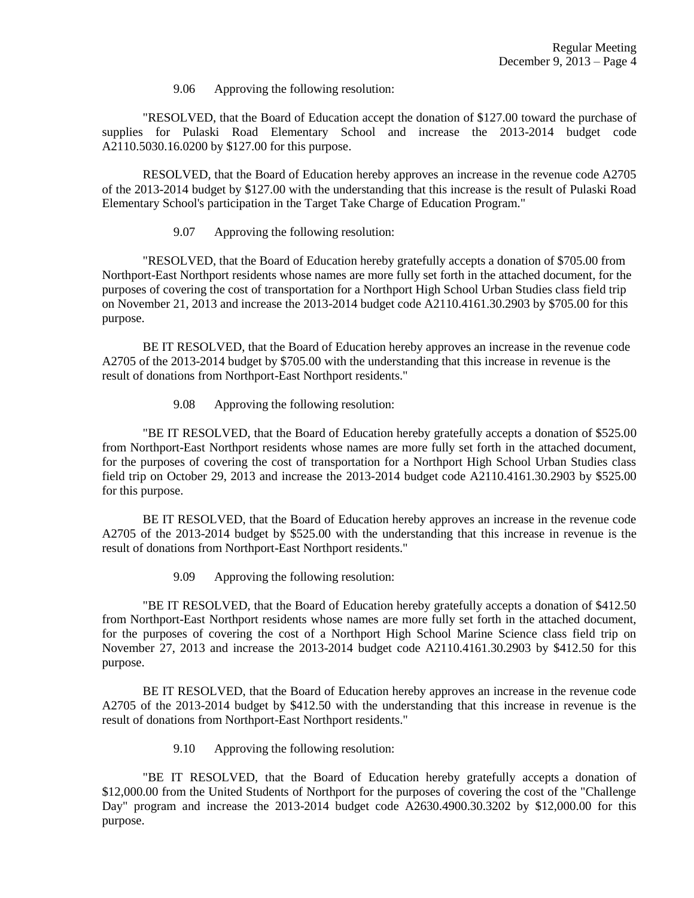9.06 Approving the following resolution:

"RESOLVED, that the Board of Education accept the donation of \$127.00 toward the purchase of supplies for Pulaski Road Elementary School and increase the 2013-2014 budget code A2110.5030.16.0200 by \$127.00 for this purpose.

RESOLVED, that the Board of Education hereby approves an increase in the revenue code A2705 of the 2013-2014 budget by \$127.00 with the understanding that this increase is the result of Pulaski Road Elementary School's participation in the Target Take Charge of Education Program."

9.07 Approving the following resolution:

"RESOLVED, that the Board of Education hereby gratefully accepts a donation of \$705.00 from Northport-East Northport residents whose names are more fully set forth in the attached document, for the purposes of covering the cost of transportation for a Northport High School Urban Studies class field trip on November 21, 2013 and increase the 2013-2014 budget code A2110.4161.30.2903 by \$705.00 for this purpose.

BE IT RESOLVED, that the Board of Education hereby approves an increase in the revenue code A2705 of the 2013-2014 budget by \$705.00 with the understanding that this increase in revenue is the result of donations from Northport-East Northport residents."

9.08 Approving the following resolution:

"BE IT RESOLVED, that the Board of Education hereby gratefully accepts a donation of \$525.00 from Northport-East Northport residents whose names are more fully set forth in the attached document, for the purposes of covering the cost of transportation for a Northport High School Urban Studies class field trip on October 29, 2013 and increase the 2013-2014 budget code A2110.4161.30.2903 by \$525.00 for this purpose.

BE IT RESOLVED, that the Board of Education hereby approves an increase in the revenue code A2705 of the 2013-2014 budget by \$525.00 with the understanding that this increase in revenue is the result of donations from Northport-East Northport residents."

9.09 Approving the following resolution:

"BE IT RESOLVED, that the Board of Education hereby gratefully accepts a donation of \$412.50 from Northport-East Northport residents whose names are more fully set forth in the attached document, for the purposes of covering the cost of a Northport High School Marine Science class field trip on November 27, 2013 and increase the 2013-2014 budget code A2110.4161.30.2903 by \$412.50 for this purpose.

BE IT RESOLVED, that the Board of Education hereby approves an increase in the revenue code A2705 of the 2013-2014 budget by \$412.50 with the understanding that this increase in revenue is the result of donations from Northport-East Northport residents."

9.10 Approving the following resolution:

"BE IT RESOLVED, that the Board of Education hereby gratefully accepts a donation of \$12,000.00 from the United Students of Northport for the purposes of covering the cost of the "Challenge Day" program and increase the 2013-2014 budget code A2630.4900.30.3202 by \$12,000.00 for this purpose.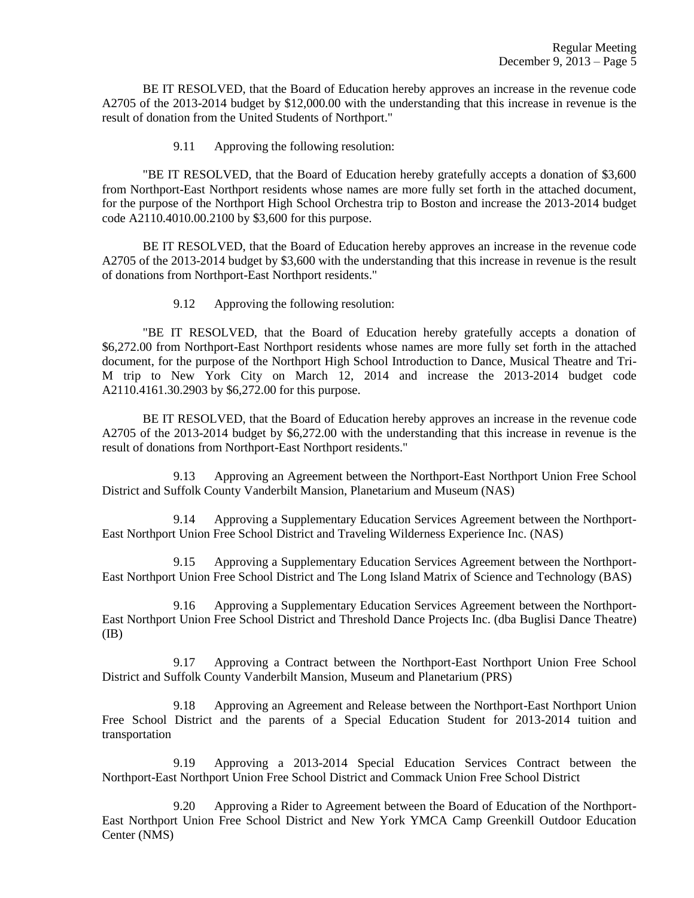BE IT RESOLVED, that the Board of Education hereby approves an increase in the revenue code A2705 of the 2013-2014 budget by \$12,000.00 with the understanding that this increase in revenue is the result of donation from the United Students of Northport."

9.11 Approving the following resolution:

"BE IT RESOLVED, that the Board of Education hereby gratefully accepts a donation of \$3,600 from Northport-East Northport residents whose names are more fully set forth in the attached document, for the purpose of the Northport High School Orchestra trip to Boston and increase the 2013-2014 budget code A2110.4010.00.2100 by \$3,600 for this purpose.

BE IT RESOLVED, that the Board of Education hereby approves an increase in the revenue code A2705 of the 2013-2014 budget by \$3,600 with the understanding that this increase in revenue is the result of donations from Northport-East Northport residents."

9.12 Approving the following resolution:

"BE IT RESOLVED, that the Board of Education hereby gratefully accepts a donation of \$6,272.00 from Northport-East Northport residents whose names are more fully set forth in the attached document, for the purpose of the Northport High School Introduction to Dance, Musical Theatre and Tri-M trip to New York City on March 12, 2014 and increase the 2013-2014 budget code A2110.4161.30.2903 by \$6,272.00 for this purpose.

BE IT RESOLVED, that the Board of Education hereby approves an increase in the revenue code A2705 of the 2013-2014 budget by \$6,272.00 with the understanding that this increase in revenue is the result of donations from Northport-East Northport residents."

9.13 Approving an Agreement between the Northport-East Northport Union Free School District and Suffolk County Vanderbilt Mansion, Planetarium and Museum (NAS)

9.14 Approving a Supplementary Education Services Agreement between the Northport-East Northport Union Free School District and Traveling Wilderness Experience Inc. (NAS)

9.15 Approving a Supplementary Education Services Agreement between the Northport-East Northport Union Free School District and The Long Island Matrix of Science and Technology (BAS)

9.16 Approving a Supplementary Education Services Agreement between the Northport-East Northport Union Free School District and Threshold Dance Projects Inc. (dba Buglisi Dance Theatre) (IB)

9.17 Approving a Contract between the Northport-East Northport Union Free School District and Suffolk County Vanderbilt Mansion, Museum and Planetarium (PRS)

9.18 Approving an Agreement and Release between the Northport-East Northport Union Free School District and the parents of a Special Education Student for 2013-2014 tuition and transportation

9.19 Approving a 2013-2014 Special Education Services Contract between the Northport-East Northport Union Free School District and Commack Union Free School District

9.20 Approving a Rider to Agreement between the Board of Education of the Northport-East Northport Union Free School District and New York YMCA Camp Greenkill Outdoor Education Center (NMS)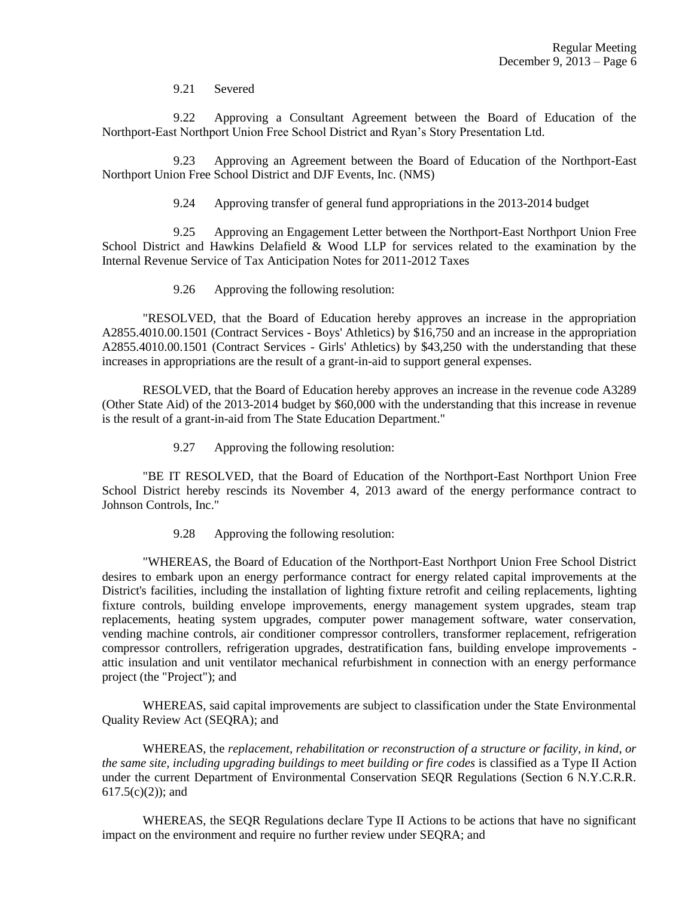9.21 Severed

9.22 Approving a Consultant Agreement between the Board of Education of the Northport-East Northport Union Free School District and Ryan's Story Presentation Ltd.

9.23 Approving an Agreement between the Board of Education of the Northport-East Northport Union Free School District and DJF Events, Inc. (NMS)

9.24 Approving transfer of general fund appropriations in the 2013-2014 budget

9.25 Approving an Engagement Letter between the Northport-East Northport Union Free School District and Hawkins Delafield & Wood LLP for services related to the examination by the Internal Revenue Service of Tax Anticipation Notes for 2011-2012 Taxes

9.26 Approving the following resolution:

"RESOLVED, that the Board of Education hereby approves an increase in the appropriation A2855.4010.00.1501 (Contract Services - Boys' Athletics) by \$16,750 and an increase in the appropriation A2855.4010.00.1501 (Contract Services - Girls' Athletics) by \$43,250 with the understanding that these increases in appropriations are the result of a grant-in-aid to support general expenses.

RESOLVED, that the Board of Education hereby approves an increase in the revenue code A3289 (Other State Aid) of the 2013-2014 budget by \$60,000 with the understanding that this increase in revenue is the result of a grant-in-aid from The State Education Department."

9.27 Approving the following resolution:

"BE IT RESOLVED, that the Board of Education of the Northport-East Northport Union Free School District hereby rescinds its November 4, 2013 award of the energy performance contract to Johnson Controls, Inc."

9.28 Approving the following resolution:

"WHEREAS, the Board of Education of the Northport-East Northport Union Free School District desires to embark upon an energy performance contract for energy related capital improvements at the District's facilities, including the installation of lighting fixture retrofit and ceiling replacements, lighting fixture controls, building envelope improvements, energy management system upgrades, steam trap replacements, heating system upgrades, computer power management software, water conservation, vending machine controls, air conditioner compressor controllers, transformer replacement, refrigeration compressor controllers, refrigeration upgrades, destratification fans, building envelope improvements attic insulation and unit ventilator mechanical refurbishment in connection with an energy performance project (the "Project"); and

WHEREAS, said capital improvements are subject to classification under the State Environmental Quality Review Act (SEQRA); and

WHEREAS, the *replacement, rehabilitation or reconstruction of a structure or facility, in kind, or the same site, including upgrading buildings to meet building or fire codes* is classified as a Type II Action under the current Department of Environmental Conservation SEQR Regulations (Section 6 N.Y.C.R.R.  $617.5(c)(2)$ ; and

WHEREAS, the SEQR Regulations declare Type II Actions to be actions that have no significant impact on the environment and require no further review under SEQRA; and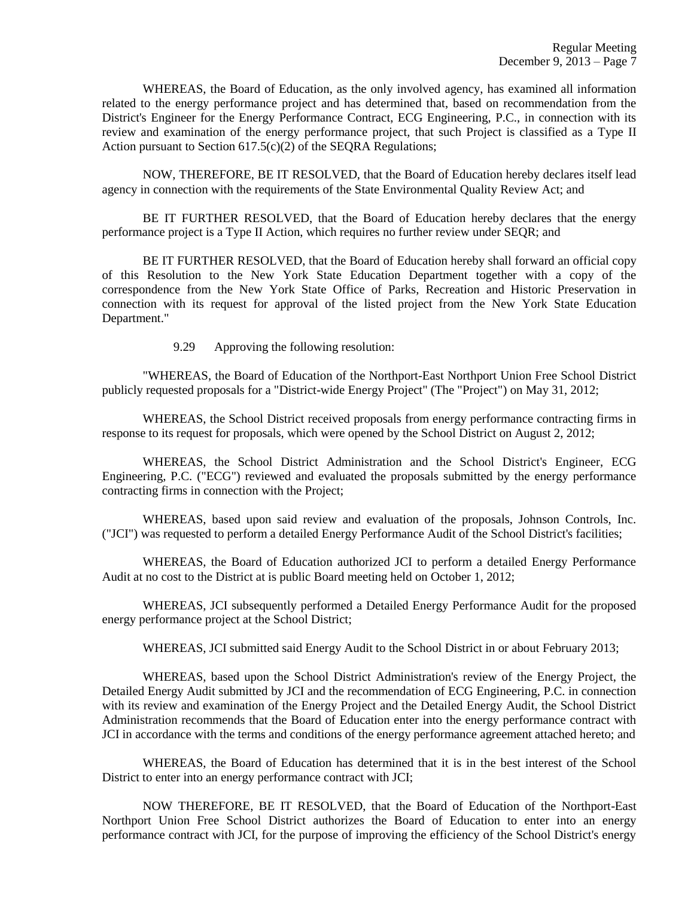WHEREAS, the Board of Education, as the only involved agency, has examined all information related to the energy performance project and has determined that, based on recommendation from the District's Engineer for the Energy Performance Contract, ECG Engineering, P.C., in connection with its review and examination of the energy performance project, that such Project is classified as a Type II Action pursuant to Section  $617.5(c)(2)$  of the SEQRA Regulations;

NOW, THEREFORE, BE IT RESOLVED, that the Board of Education hereby declares itself lead agency in connection with the requirements of the State Environmental Quality Review Act; and

BE IT FURTHER RESOLVED, that the Board of Education hereby declares that the energy performance project is a Type II Action, which requires no further review under SEQR; and

BE IT FURTHER RESOLVED, that the Board of Education hereby shall forward an official copy of this Resolution to the New York State Education Department together with a copy of the correspondence from the New York State Office of Parks, Recreation and Historic Preservation in connection with its request for approval of the listed project from the New York State Education Department."

9.29 Approving the following resolution:

"WHEREAS, the Board of Education of the Northport-East Northport Union Free School District publicly requested proposals for a "District-wide Energy Project" (The "Project") on May 31, 2012;

WHEREAS, the School District received proposals from energy performance contracting firms in response to its request for proposals, which were opened by the School District on August 2, 2012;

WHEREAS, the School District Administration and the School District's Engineer, ECG Engineering, P.C. ("ECG") reviewed and evaluated the proposals submitted by the energy performance contracting firms in connection with the Project;

WHEREAS, based upon said review and evaluation of the proposals, Johnson Controls, Inc. ("JCI") was requested to perform a detailed Energy Performance Audit of the School District's facilities;

WHEREAS, the Board of Education authorized JCI to perform a detailed Energy Performance Audit at no cost to the District at is public Board meeting held on October 1, 2012;

WHEREAS, JCI subsequently performed a Detailed Energy Performance Audit for the proposed energy performance project at the School District;

WHEREAS, JCI submitted said Energy Audit to the School District in or about February 2013;

WHEREAS, based upon the School District Administration's review of the Energy Project, the Detailed Energy Audit submitted by JCI and the recommendation of ECG Engineering, P.C. in connection with its review and examination of the Energy Project and the Detailed Energy Audit, the School District Administration recommends that the Board of Education enter into the energy performance contract with JCI in accordance with the terms and conditions of the energy performance agreement attached hereto; and

WHEREAS, the Board of Education has determined that it is in the best interest of the School District to enter into an energy performance contract with JCI;

NOW THEREFORE, BE IT RESOLVED, that the Board of Education of the Northport-East Northport Union Free School District authorizes the Board of Education to enter into an energy performance contract with JCI, for the purpose of improving the efficiency of the School District's energy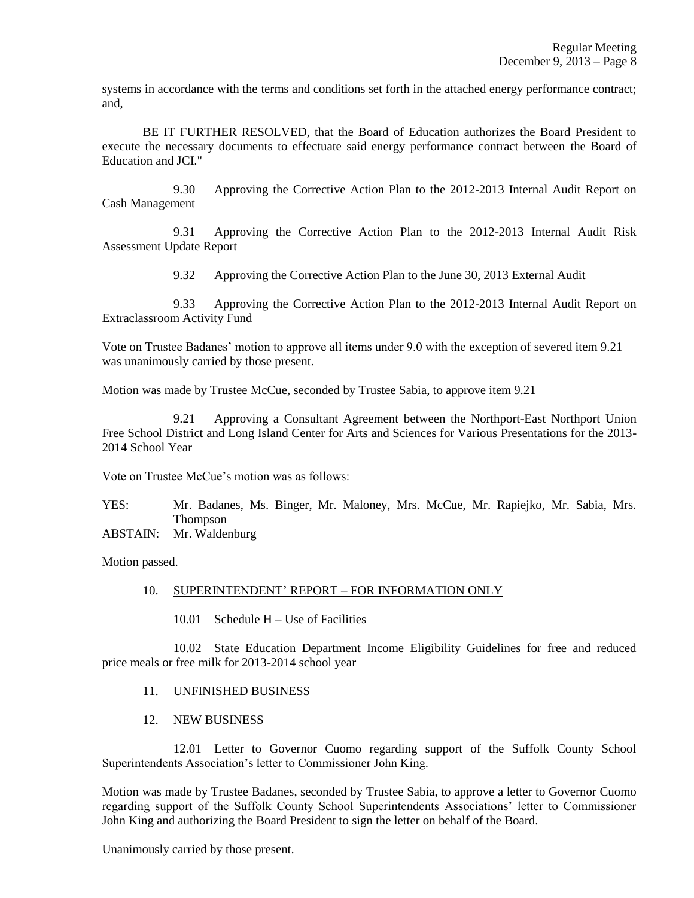systems in accordance with the terms and conditions set forth in the attached energy performance contract; and,

BE IT FURTHER RESOLVED, that the Board of Education authorizes the Board President to execute the necessary documents to effectuate said energy performance contract between the Board of Education and JCI."

9.30 Approving the Corrective Action Plan to the 2012-2013 Internal Audit Report on Cash Management

9.31 Approving the Corrective Action Plan to the 2012-2013 Internal Audit Risk Assessment Update Report

9.32 Approving the Corrective Action Plan to the June 30, 2013 External Audit

9.33 Approving the Corrective Action Plan to the 2012-2013 Internal Audit Report on Extraclassroom Activity Fund

Vote on Trustee Badanes' motion to approve all items under 9.0 with the exception of severed item 9.21 was unanimously carried by those present.

Motion was made by Trustee McCue, seconded by Trustee Sabia, to approve item 9.21

9.21 Approving a Consultant Agreement between the Northport-East Northport Union Free School District and Long Island Center for Arts and Sciences for Various Presentations for the 2013- 2014 School Year

Vote on Trustee McCue's motion was as follows:

YES: Mr. Badanes, Ms. Binger, Mr. Maloney, Mrs. McCue, Mr. Rapiejko, Mr. Sabia, Mrs. **Thompson** 

ABSTAIN: Mr. Waldenburg

Motion passed.

### 10. SUPERINTENDENT' REPORT – FOR INFORMATION ONLY

10.01 Schedule H – Use of Facilities

10.02 State Education Department Income Eligibility Guidelines for free and reduced price meals or free milk for 2013-2014 school year

### 11. UNFINISHED BUSINESS

# 12. NEW BUSINESS

12.01 Letter to Governor Cuomo regarding support of the Suffolk County School Superintendents Association's letter to Commissioner John King.

Motion was made by Trustee Badanes, seconded by Trustee Sabia, to approve a letter to Governor Cuomo regarding support of the Suffolk County School Superintendents Associations' letter to Commissioner John King and authorizing the Board President to sign the letter on behalf of the Board.

Unanimously carried by those present.